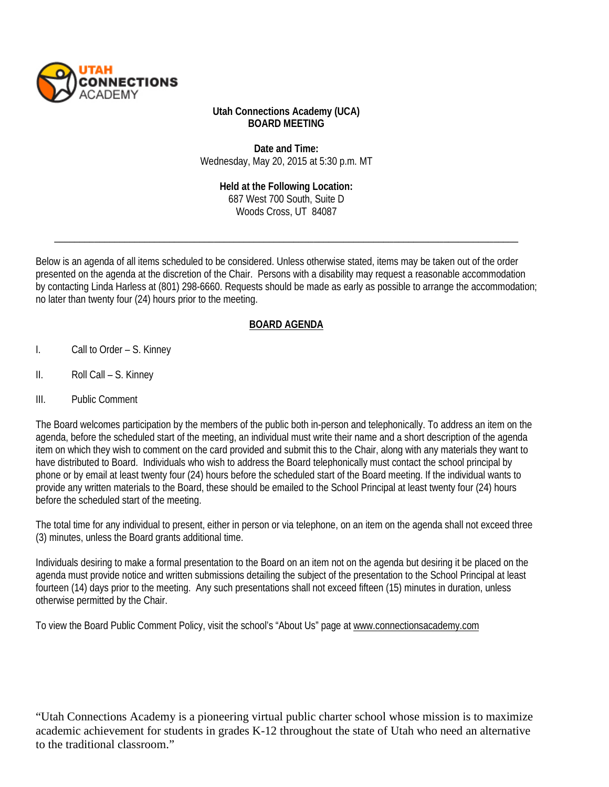

#### **Utah Connections Academy (UCA) BOARD MEETING**

**Date and Time:** Wednesday, May 20, 2015 at 5:30 p.m. MT

> **Held at the Following Location:**  687 West 700 South, Suite D Woods Cross, UT 84087

\_\_\_\_\_\_\_\_\_\_\_\_\_\_\_\_\_\_\_\_\_\_\_\_\_\_\_\_\_\_\_\_\_\_\_\_\_\_\_\_\_\_\_\_\_\_\_\_\_\_\_\_\_\_\_\_\_\_\_\_\_\_\_\_\_\_\_\_\_\_\_\_\_\_\_\_\_\_\_\_\_\_\_\_\_\_\_\_\_\_\_\_\_

Below is an agenda of all items scheduled to be considered. Unless otherwise stated, items may be taken out of the order presented on the agenda at the discretion of the Chair. Persons with a disability may request a reasonable accommodation by contacting Linda Harless at (801) 298-6660. Requests should be made as early as possible to arrange the accommodation; no later than twenty four (24) hours prior to the meeting.

## **BOARD AGENDA**

- I. Call to Order S. Kinney
- II. Roll Call S. Kinney
- III. Public Comment

The Board welcomes participation by the members of the public both in-person and telephonically. To address an item on the agenda, before the scheduled start of the meeting, an individual must write their name and a short description of the agenda item on which they wish to comment on the card provided and submit this to the Chair, along with any materials they want to have distributed to Board. Individuals who wish to address the Board telephonically must contact the school principal by phone or by email at least twenty four (24) hours before the scheduled start of the Board meeting. If the individual wants to provide any written materials to the Board, these should be emailed to the School Principal at least twenty four (24) hours before the scheduled start of the meeting.

The total time for any individual to present, either in person or via telephone, on an item on the agenda shall not exceed three (3) minutes, unless the Board grants additional time.

Individuals desiring to make a formal presentation to the Board on an item not on the agenda but desiring it be placed on the agenda must provide notice and written submissions detailing the subject of the presentation to the School Principal at least fourteen (14) days prior to the meeting. Any such presentations shall not exceed fifteen (15) minutes in duration, unless otherwise permitted by the Chair.

To view the Board Public Comment Policy, visit the school's "About Us" page a[t www.connectionsacademy.com](http://www.connectionsacademy.com/)

"Utah Connections Academy is a pioneering virtual public charter school whose mission is to maximize academic achievement for students in grades K-12 throughout the state of Utah who need an alternative to the traditional classroom."